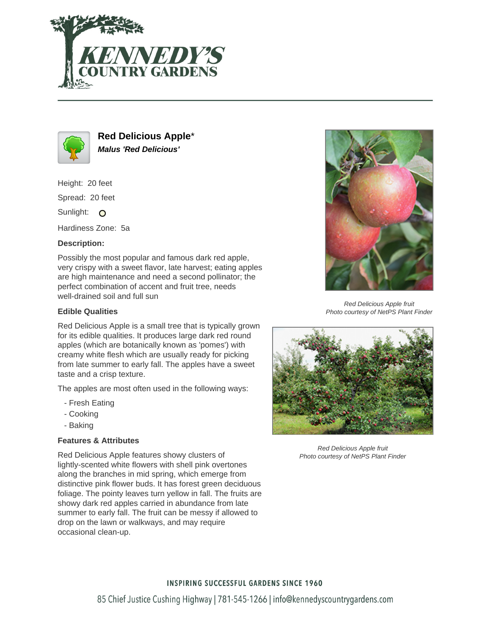



**Red Delicious Apple**\* **Malus 'Red Delicious'**

Height: 20 feet

Spread: 20 feet

Sunlight: O

Hardiness Zone: 5a

# **Description:**

Possibly the most popular and famous dark red apple, very crispy with a sweet flavor, late harvest; eating apples are high maintenance and need a second pollinator; the perfect combination of accent and fruit tree, needs well-drained soil and full sun

# **Edible Qualities**

Red Delicious Apple is a small tree that is typically grown for its edible qualities. It produces large dark red round apples (which are botanically known as 'pomes') with creamy white flesh which are usually ready for picking from late summer to early fall. The apples have a sweet taste and a crisp texture.

The apples are most often used in the following ways:

- Fresh Eating
- Cooking
- Baking

# **Features & Attributes**

Red Delicious Apple features showy clusters of lightly-scented white flowers with shell pink overtones along the branches in mid spring, which emerge from distinctive pink flower buds. It has forest green deciduous foliage. The pointy leaves turn yellow in fall. The fruits are showy dark red apples carried in abundance from late summer to early fall. The fruit can be messy if allowed to drop on the lawn or walkways, and may require occasional clean-up.



Red Delicious Apple fruit Photo courtesy of NetPS Plant Finder



Red Delicious Apple fruit Photo courtesy of NetPS Plant Finder

# **INSPIRING SUCCESSFUL GARDENS SINCE 1960**